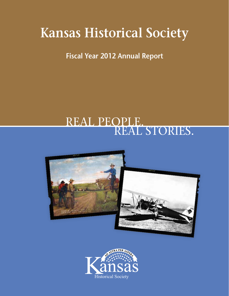# **Kansas Historical Society**

**Fiscal Year 2012 Annual Report**

## REAL PEOPLE. REAL STORIES.



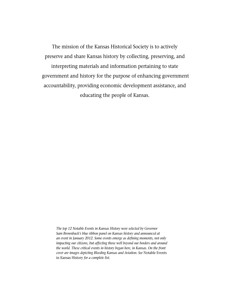The mission of the Kansas Historical Society is to actively preserve and share Kansas history by collecting, preserving, and interpreting materials and information pertaining to state government and history for the purpose of enhancing government accountability, providing economic development assistance, and educating the people of Kansas.

*The top 12 Notable Events in Kansas History were selected by Governor Sam Brownback's blue ribbon panel on Kansas history and announced at an event in January 2012. Some events emerge as defining moments, not only impacting our citizens, but affecting those well beyond our borders and around the world. These critical events in history began here, in Kansas. On the front cover are images depicting Bleeding Kansas and Aviation. See* Notable Events in Kansas History *for a complete list.*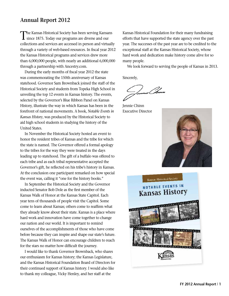#### **Annual Report 2012**

The Kansas Historical Society has been serving Kansans<br>since 1875. Today our programs are diverse and our collections and services are accessed in person and virtually through a variety of web-based resources. In fiscal year 2012 the Kansas Historical programs and services drew more than 6,000,000 people, with nearly an additional 6,000,000 through a partnership with Ancestry.com.

During the early months of fiscal year 2012 the state was commemorating the 150th anniversary of Kansas statehood. Governor Sam Brownback joined the staff of the Historical Society and students from Topeka High School in unveiling the top 12 events in Kansas history. The events, selected by the Governor's Blue Ribbon Panel on Kansas History, illustrate the way in which Kansas has been in the forefront of national movements. A book, *Notable Events in Kansas History*, was produced by the Historical Society to aid high school students in studying the history of the United States.

In November the Historical Society hosted an event to honor the resident tribes of Kansas and the tribe for which the state is named. The Governor offered a formal apology to the tribes for the way they were treated in the days leading up to statehood. The gift of a buffalo was offered to each tribe and as each tribal representative accepted the Governor's gift, he reflected on his tribe's history in Kansas. At the conclusion one participant remarked on how special the event was, calling it "one for the history books."

In September the Historical Society and the Governor inducted Senator Bob Dole as the first member of the Kansas Walk of Honor at the Kansas State Capitol. Each year tens of thousands of people visit the Capitol. Some come to learn about Kansas; others come to reaffirm what they already know about their state. Kansas is a place where hard work and innovation have come together to change our nation and our world. It is important to remind ourselves of the accomplishments of those who have come before because they can inspire and shape our state's future. The Kansas Walk of Honor can encourage children to reach for the stars no matter how difficult the journey.

I would like to thank Governor Brownback, who shares our enthusiasm for Kansas history; the Kansas Legislature, and the Kansas Historical Foundation Board of Directors for their continued support of Kansas history. I would also like to thank my colleague, Vicky Henley, and her staff at the

Kansas Historical Foundation for their many fundraising efforts that have supported the state agency over the past year. The successes of the past year are to be credited to the exceptional staff at the Kansas Historical Society, whose hard work and dedication make history come alive for so many people.

We look forward to serving the people of Kansas in 2013.

Sincerely,

)<br>van Isma

Jennie Chinn Executive Director



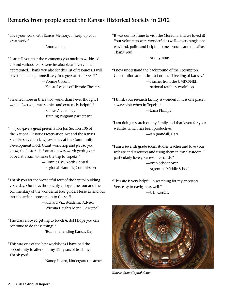#### **Remarks from people about the Kansas Historical Society in 2012**

"Love your work with Kansas Memory. . . Keep up your great work."

—Anonymous

"I can tell you that the comments you made as we kicked around various issues were invaluable and very much appreciated. Thank you also for this list of resources. I will pass them along immediately. You guys are the BEST!!" —Vonnie Corsini, Kansas League of Historic Theaters

"I learned more in these two weeks than I ever thought I would. Everyone was so nice and extremely helpful." —Kansas Archeology

Training Program participant

". . . you gave a great presentation [on Section 106 of the National Historic Preservation Act and the Kansas State Preservation Law] yesterday at the Community Development Block Grant workshop and just so you know, the historic information was worth getting out of bed at 5 a.m. to make the trip to Topeka."

—Connie Cyr, North Central Regional Planning Commission

"Thank you for the wonderful tour of the capitol building yesterday. Our boys thoroughly enjoyed the tour and the commentary of the wonderful tour guide. Please extend our most heartfelt appreciation to the staff.

> —Richard Vix, Academic Advisor, Wichita Heights Men's Basketball

"The class enjoyed getting to touch & do! I hope you can continue to do these things."

—Teacher attending Kansas Day

"This was one of the best workshops I have had the opportunity to attend in my 35+ years of teaching! Thank you!

—Nancy Fusaro, kindergarten teacher

"It was our first time to visit the Museum, and we loved it! Your volunteers were wonderful as well—every single one was kind, polite and helpful to me—young and old alike. Thank You!

—Anonymous

"I now understand the background of the Lecompton Constitution and its impact on the "bleeding of Kansas." —Teacher from the UMKC/NEH national teachers workshop

"I think your research facility is wonderful. It is one place I always visit when in Topeka." —Erma Phillips

"I am doing research on my family and thank you for your website, which has been productive." —Ian (Randall) Carr

"I am a seventh grade social studies teacher and love your website and resources and using them in my classroom. I particularly love your resource cards."

> —Ryan Schoonover, Argentine Middle School

"This site is very helpful in searching for my ancestors. Very easy to navigate as well."

—J. D. Corbitt



*Kansas State Capitol dome.*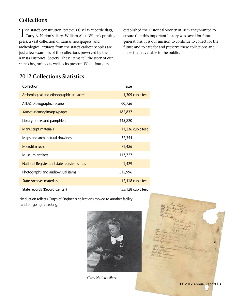#### **Collections**

The state's constitution, precious Civil War battle flags,<br>Carry A. Nation's diary, William Allen White's printing press, a vast collection of Kansas newspapers, and archeological artifacts from the state's earliest peoples are just a few examples of the collections preserved by the Kansas Historical Society. These items tell the story of our state's beginnings as well as its present. When founders

established the Historical Society in 1875 they wanted to ensure that this important history was saved for future generations. It is our mission to continue to collect for the future and to care for and preserve these collections and make them available to the public.

## **2012 Collections Statistics**

| <b>Collection</b>                             | <b>Size</b>       |
|-----------------------------------------------|-------------------|
| Archeological and ethnographic artifacts*     | 4,309 cubic feet  |
| ATLAS bibliographic records                   | 60,756            |
| Kansas Memory images/pages                    | 182,837           |
| Library books and pamphlets                   | 445,820           |
| <b>Manuscript materials</b>                   | 11,236 cubic feet |
| Maps and architectural drawings               | 32,354            |
| Microfilm reels                               | 71,426            |
| Museum artifacts                              | 117,727           |
| National Register and state register listings | 1,429             |
| Photographs and audio-visual items            | 515,996           |
| <b>State Archives materials</b>               | 42,418 cubic feet |
| State records (Record Center)                 | 55,128 cubic feet |

\*Reduction reflects Corps of Engineers collections moved to another facility and on-going repacking.



*Carry Nation's diary.*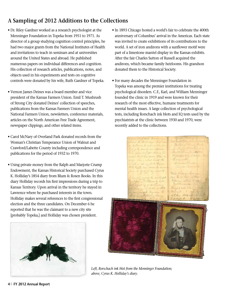## **A Sampling of 2012 Additions to the Collections**

- Dr. Riley Gardner worked as a research psychologist at the Menninger Foundation in Topeka from 1951 to 1971. As director of a group studying cognition control principles, he had two major grants from the National Institutes of Health and invitations to teach in seminars and at universities around the United States and abroad. He published numerous papers on individual differences and cognition. His collection of research articles, publications, notes, and objects used in his experiments and tests on cognitive controls were donated by his wife, Ruth Gardner of Topeka.
- Vernon James Deines was a board member and vice president of the Kansas Farmers Union. Emil T. Mushrush of Strong City donated Deines' collection of speeches, publications from the Kansas Farmers Union and the National Farmers Union, newsletters, conference materials, articles on the North American Free Trade Agreement, newspaper clippings, and other related items.
- Carol McNary of Overland Park donated records from the Woman's Christian Temperance Union of Walnut and Crawford/Labette County including correspondence and publications for the period of 1932 to 1970.
- Using private money from the Ralph and Marjorie Crump Endowment, the Kansas Historical Society purchased Cyrus K. Holliday's 1854 diary from Blum & Rosen Books. In this diary Holliday records his first impressions during a trip to Kansas Territory. Upon arrival in the territory he stayed in Lawrence where he purchased interests in the town. Holliday makes several references to the first congressional election and the three candidates. On December 6 he reported that he was the claimant to a new city site [probably Topeka,] and Holliday was chosen president.



- In 1893 Chicago hosted a world's fair to celebrate the 400th anniversary of Columbus' arrival in the Americas. Each state was invited to create exhibitions of its contributions to the world. A set of iron andirons with a sunflower motif were part of a limestone mantel display in the Kansas exhibits. After the fair Charles Sutton of Russell acquired the andirons, which became family heirlooms. His grandson donated them to the Historical Society.
- For many decades the Menninger Foundation in Topeka was among the premier institutions for treating psychological disorders. C.F., Karl, and William Menninger founded the clinic in 1919 and were known for their research of the most effective, humane treatments for mental health issues. A large collection of psychological tests, including Rorschach ink blots and IQ tests used by the psychiatrists at the clinic between 1930 and 1970, were recently added to the collections.

*Left, Rorschach ink blot from the Menninger Foundation; above, Cyrus K. Holliday's diary.*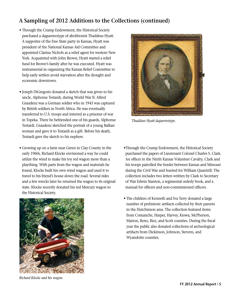#### **A Sampling of 2012 Additions to the Collections (continued)**

- Through the Crump Endowment, the Historical Society purchased a daguerreotype of abolitionist Thaddeus Hyatt. A supporter of the Free State party in Kansas, Hyatt was president of the National Kansas Aid Committee and appointed Clarina Nichols as a relief agent for western New York. Acquainted with John Brown, Hyatt started a relief fund for Brown's family after he was executed. Hyatt was instrumental in organizing the Kansas Relief Committee to help early settlers avoid starvation after the drought and economic downtown.
- Joseph DiGregorio donated a sketch that was given to his uncle, Alphonse Testardi, during World War II. Alfred Graudenz was a German soldier who in 1943 was captured by British soldiers in North Africa. He was eventually transferred to U.S. troops and interred as a prisoner of war in Topeka. There he befriended one of his guards, Alphonse Testardi. Graudenz sketched the portrait of a young Balkan woman and gave it to Testardi as a gift. Before his death, Testardi gave the sketch to his nephew.
- Growing up on a farm near Green in Clay County in the early 1960s, Richard Klocke envisioned a way he could utilize the wind to make his toy red wagon more than a plaything. With parts from the wagon and materials he found, Klocke built his own wind wagon and used it to travel to his friend's house down the road. Several rides and a few wrecks later he returned the wagon to its original state. Klocke recently donated his red Mercury wagon to the Historical Society.



*Thaddeus Hyatt daguerreotype.*

- •Through the Crump Endowment, the Historical Society purchased the papers of Lieutenant Colonel Charles S. Clark. An officer in the Ninth Kansas Volunteer Cavalry, Clark and his troops patrolled the border between Kansas and Missouri during the Civil War and hunted for William Quantrill. The collection includes two letters written by Clark to Secretary of War Edwin Stanton, a regimental orderly book, and a manual for officers and non-commissioned officers.
- The children of Kenneth and Iva Terry donated a large number of prehistoric artifacts collected by their parents in the Hutchinson area. The collection featured items from Comanche, Harper, Harvey, Kiowa, McPherson, Marion, Reno, Rice, and Scott counties. During the fiscal year the public also donated collections of archeological artifacts from Dickinson, Johnson, Stevens, and Wyandotte counties.

*Richard Klocke and his wagon.*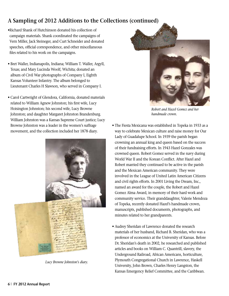#### **A Sampling of 2012 Additions to the Collections (continued)**

- •Richard Shank of Hutchinson donated his collection of campaign materials. Shank coordinated the campaigns of Vern Miller, Jack Steineger, and Curt Schneider and donated speeches, official correspondence, and other miscellaneous files related to his work on the campaigns.
- Bret Waller, Indianapolis, Indiana; William T. Waller, Argyll, Texas; and Mary Lucinda Woolf, Wichita; donated an album of Civil War photographs of Company I, Eighth Kansas Volunteer Infantry. The album belonged to Lieutenant Charles H Slawson, who served in Company I.
- Carol Cartwright of Glendora, California, donated materials related to William Agnew Johnston; his first wife, Lucy Hoisington Johnston; his second wife, Lucy Browne Johnston; and daughter Margaret Johnston Brandenburg. William Johnston was a Kansas Supreme Court justice; Lucy Browne Johnston was a leader in the women's suffrage movement, and the collection included her 1878 diary.



*Lucy Browne Johnston's diary.*



*Robert and Hazel Gomez and her handmade crown.*

- The Fiesta Mexicana was established in Topeka in 1933 as a way to celebrate Mexican culture and raise money for Our Lady of Guadalupe School. In 1939 the parish began crowning an annual king and queen based on the success of their fundraising efforts. In 1943 Hazel Gonzales was crowned queen. Robert Gomez served in the navy during World War II and the Korean Conflict. After Hazel and Robert married they continued to be active in the parish and the Mexican American community. They were involved in the League of United Latin American Citizens and civil rights efforts. In 2001 Living the Dream, Inc., named an award for the couple, the Robert and Hazel Gomez Alma Award, in memory of their hard work and community service. Their granddaughter, Valerie Mendoza of Topeka, recently donated Hazel's handmade crown, manuscripts, published documents, photographs, and minutes related to her grandparents.
- Audrey Sheridan of Lawrence donated the research materials of her husband, Richard B. Sheridan, who was a professor of economics at the University of Kansas. Before Dr. Sheridan's death in 2002, he researched and published articles and books on William C. Quantrill, slavery, the Underground Railroad, African Americans, horticulture, Plymouth Congregational Church in Lawrence, Haskell University, John Brown, Charles Henry Langston, the Kansas Emergency Relief Committee, and the Caribbean.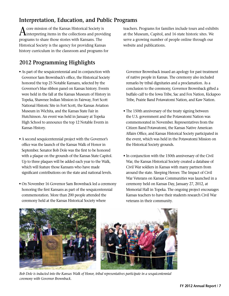#### **Interpretation, Education, and Public Programs**

 $\bigwedge$  core mission of the Kansas Historical Society is interpreting items in the collections and providing programs to share those stories with Kansans. The Historical Society is the agency for providing Kansas history curriculum in the classroom and programs for

## **2012 Programming Highlights**

- As part of the sesquicentennial and in conjunction with Governor Sam Brownback's office, the Historical Society honored the top 25 Notable Kansans, selected by the Governor's blue ribbon panel on Kansas history. Events were held in the fall at the Kansas Museum of History in Topeka, Shawnee Indian Mission in Fairway, Fort Scott National Historic Site in Fort Scott, the Kansas Aviation Museum in Wichita, and the Kansas State Fair in Hutchinson. An event was held in January at Topeka High School to announce the top 12 Notable Events in Kansas History.
- A second sesquicentennial project with the Governor's office was the launch of the Kansas Walk of Honor in September. Senator Bob Dole was the first to be honored with a plaque on the grounds of the Kansas State Capitol. Up to three plaques will be added each year to the Walk, which will feature those Kansans who have made significant contributions on the state and national levels.
- On November 16 Governor Sam Brownback led a ceremony honoring the first Kansans as part of the sesquicentennial commemoration. More than 200 people attended the ceremony held at the Kansas Historical Society where

teachers. Programs for families include tours and exhibits at the Museum, Capitol, and 16 state historic sites. We serve a growing number of people online through our website and publications.

 Governor Brownback issued an apology for past treatment of native people in Kansas. The ceremony also included remarks by tribal dignitaries and a proclamation. As a conclusion to the ceremony, Governor Brownback gifted a buffalo calf to the Iowa Tribe, Sac and Fox Nation, Kickapoo Tribe, Prairie Band Potawatomi Nation, and Kaw Nation.

- The 150th anniversary of the treaty signing between the U.S. government and the Potawatomi Nation was commemorated in November. Representatives from the Citizen Band Potawatomi, the Kansas Native American Affairs Office, and Kansas Historical Society participated in the event, which was held in the Potawatomi Mission on the Historical Society grounds.
- In conjunction with the 150th anniversary of the Civil War, the Kansas Historical Society created a database of Civil War soldiers in Kansas with many partners from around the state. Sleeping Heroes: The Impact of Civil War Veterans on Kansas Communities was launched in a ceremony held on Kansas Day, January 27, 2012, at Memorial Hall in Topeka. The ongoing project encourages Kansas teachers to have their students research Civil War veterans in their community.



*Bob Dole is inducted into the Kansas Walk of Honor, tribal representatives participate in a sesquicentennial ceremony with Governor Brownback.*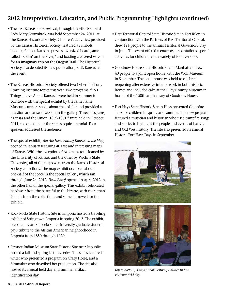## **2012 Interpretation, Education, and Public Programming Highlights (continued)**

- The first Kansas Book Festival, through the efforts of First Lady Mary Brownback, was held September 24, 2011, at the Kansas Historical Society. Children's activities, provided by the Kansas Historical Society, featured a symbols booklet, famous Kansans puzzles, oversized board game called "Rollin' on the River," and loading a covered wagon for an imaginary trip on the Oregon Trail. The Historical Society also debuted its new publication, Kid's Kansas, at the event.
- The Kansas Historical Society offered two Osher Life Long Learning Institute topics this year. Two programs, "150 Things I Love About Kansas," were held in summer to coincide with the special exhibit by the same name. Museum curators spoke about the exhibit and provided a question and answer session in the gallery. Three programs, "Kansas and the Union, 1859-1861," were held in October 2011, to complement the state sesquicentennial. Four speakers addressed the audience.
- The special exhibit, *You Are Here: Putting Kansas on the Map*, opened in January featuring 40 rare and interesting maps of Kansas. With the exception of two maps (one loaned by the University of Kansas, and the other by Wichita State University) all of the maps were from the Kansas Historical Society collections. The map exhibit occupied about one-half of the space in the special gallery, which ran through June 24, 2012. *Head Bling!* opened in April 2012 in the other half of the special gallery. This exhibit celebrated headwear from the beautiful to the bizarre, with more than 70 hats from the collections and some borrowed for the exhibit.
- Rock Rocks State Historic Site in Emporia hosted a traveling exhibit of Stringtown Emporia in spring 2012. The exhibit, prepared by an Emporia State University graduate student, pays tribute to the African American neighborhood in Emporia from 1850 through 1920.
- Pawnee Indian Museum State Historic Site near Republic hosted a fall and spring lectures series. The series featured a writer who presented a program on Crazy Horse, and a filmmaker who described her production. The site also hosted its annual field day and summer artifact identification day.
- First Territorial Capitol State Historic Site in Fort Riley, in conjunction with the Partners of First Territorial Capitol, drew 124 people to the annual Territorial Governor's Day in June. The event offered reenactors, presentations, special activities for children, and a variety of food vendors.
- Goodnow House State Historic Site in Manhattan drew 40 people to a joint open house with the Wolf Museum in September. The open house was held to celebrate reopening after extensive interior work in both historic homes and included cake at the Riley County Museum in honor of the 150th anniversary of Goodnow House.
- Fort Hays State Historic Site in Hays presented Campfire Tales for children in spring and summer. The new program featured a musician and historian who used campfire songs and stories to highlight the people and events of Kansas and Old West history. The site also presented its annual Historic Fort Hays Days in September.



*Top to bottom, Kansas Book Festival; Pawnee Indian Museum field day.*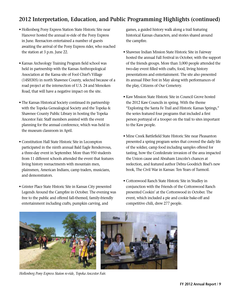#### **2012 Interpretation, Education, and Public Programming Highlights (continued)**

- Hollenberg Pony Express Station State Historic Site near Hanover hosted the annual re-ride of the Pony Express in June. Reenactors entertained a number of guests awaiting the arrival of the Pony Express rider, who reached the station at 3 p.m. June 22.
- Kansas Archeology Training Program field school was held in partnership with the Kansas Anthropological Association at the Kansa site of Fool Chief's Village (14SH305) in north Shawnee County, selected because of a road project at the intersection of U.S. 24 and Menoken Road, that will have a negative impact on the site.
- The Kansas Historical Society continued its partnership with the Topeka Genealogical Society and the Topeka & Shawnee County Public Library in hosting the Topeka Ancestor Fair. Staff members assisted with the event planning for the annual conference, which was held in the museum classroom in April.
- Constitution Hall State Historic Site in Lecompton participated in the ninth annual Bald Eagle Rendezvous, a three-day event in September. More than 950 students from 11 different schools attended the event that features living history reenactments with mountain men, plainsmen, American Indians, camp traders, musicians, and demonstrators.
- Grinter Place State Historic Site in Kansas City presented Legends Around the Campfire in October. The evening was free to the public and offered fall-themed, family-friendly entertainment including crafts, pumpkin carving, and

games, a guided history walk along a trail featuring historical Kansas characters, and stories shared around the campfire.

- Shawnee Indian Mission State Historic Site in Fairway hosted the annual Fall Festival in October, with the support of the friends groups. More than 3,000 people attended the two-day event filled with crafts, food, living history presentations and entertainment. The site also presented its annual Fiber Fest in May along with performances of the play, Citizens of Our Cemetery.
- Kaw Mission State Historic Site in Council Grove hosted the 2012 Kaw Councils in spring. With the theme "Exploring the Santa Fe Trail and Historic Kansas Springs," the series featured four programs that included a first person portrayal of a trooper on the trail to sites important to the Kaw people.
- Mine Creek Battlefield State Historic Site near Pleasanton presented a spring program series that covered the daily life of the soldier, camp food including samples offered for tasting, how the Confederate invasion of the area impacted the Union cause and Abraham Lincoln's chances at reelection, and featured author Debra Goodrich Bisel's new book, The Civil War in Kansas: Ten Years of Turmoil.
- Cottonwood Ranch State Historic Site in Studley in conjunction with the Friends of the Cottonwood Ranch presented Cookin' at the Cottonwood in October. The event, which included a pie and cookie bake-off and competitive chili, drew 277 people.



*Hollenberg Pony Express Staion re-ride, Topeka Ancestor Fair.*

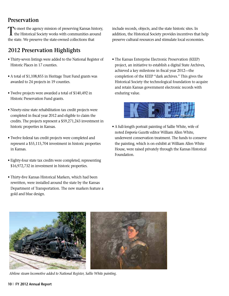#### **Preservation**

To meet the agency mission of preserving Kansas history, the Historical Society works with communities around the state. We preserve the state-owned collections that

#### **2012 Preservation Highlights**

- Thirty-seven listings were added to the National Register of Historic Places in 17 counties.
- A total of \$1,108,855 in Heritage Trust Fund grants was awarded to 24 projects in 19 counties.
- Twelve projects were awarded a total of \$140,492 in Historic Preservation Fund grants.
- Ninety-nine state rehabilitation tax credit projects were completed in fiscal year 2012 and eligible to claim the credits. The projects represent a \$59,271,243 investment in historic properties in Kansas.
- Twelve federal tax credit projects were completed and represent a \$55,115,704 investment in historic properties in Kansas.
- Eighty-four state tax credits were completed, representing \$16,972,732 in investment in historic properties.
- Thirty-five Kansas Historical Markers, which had been rewritten, were installed around the state by the Kansas Department of Transportation. The new markers feature a gold and blue design.

include records, objects, and the state historic sites. In addition, the Historical Society provides incentives that help preserve cultural resources and stimulate local economies.

• The Kansas Enterprise Electronic Preservation (KEEP) project, an initiative to establish a digital State Archives, achieved a key milestone in fiscal year 2012—the completion of the KEEP "dark archives." This gives the Historical Society the technological foundation to acquire and retain Kansas government electronic records with enduring value.



• A full-length portrait painting of Sallie White, wife of noted *Emporia Gazette* editor William Allen White, underwent conservation treatment. The funds to conserve the painting, which is on exhibit at William Allen White House, were raised privately through the Kansas Historical Foundation.



*Abilene steam locomotive added to National Register, Sallie White painting.*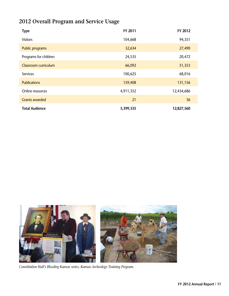## **2012 Overall Program and Service Usage**

| <b>Type</b>           | FY 2011   | FY 2012    |
|-----------------------|-----------|------------|
| <b>Visitors</b>       | 104,668   | 94,351     |
| Public programs       | 32,634    | 27,490     |
| Programs for children | 24,535    | 20,472     |
| Classroom curriculum  | 66,092    | 51,353     |
| Services              | 100,625   | 68,016     |
| <b>Publications</b>   | 159,408   | 131,156    |
| Online resources      | 4,911,352 | 12,434,686 |
| <b>Grants awarded</b> | 21        | 36         |
| <b>Total Audience</b> | 5,399,335 | 12,827,560 |



*Constitution Hall's Bleeding Kansas series, Kansas Archeology Training Program.*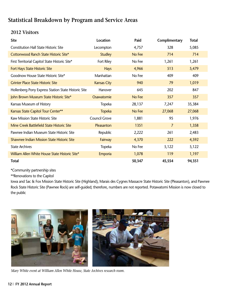#### **2012 Visitors**

| <b>Site</b>                                         | Location           | Paid   | Complimentary | <b>Total</b> |
|-----------------------------------------------------|--------------------|--------|---------------|--------------|
| <b>Constitution Hall State Historic Site</b>        | Lecompton          | 4,757  | 328           | 5,085        |
| Cottonwood Ranch State Historic Site*               | <b>Studley</b>     | No Fee | 714           | 714          |
| First Territorial Capitol State Historic Site*      | Fort Riley         | No Fee | 1,261         | 1,261        |
| Fort Hays State Historic Site                       | <b>Hays</b>        | 4,966  | 513           | 5,479        |
| Goodnow House State Historic Site*                  | Manhattan          | No Fee | 409           | 409          |
| <b>Grinter Place State Historic Site</b>            | <b>Kansas City</b> | 940    | 79            | 1,019        |
| Hollenberg Pony Express Station State Historic Site | Hanover            | 645    | 202           | 847          |
| John Brown Museum State Historic Site*              | Osawatomie         | No Fee | 357           | 357          |
| Kansas Museum of History                            | Topeka             | 28,137 | 7,247         | 35,384       |
| Kansas State Capitol Tour Center**                  | <b>Topeka</b>      | No Fee | 27,068        | 27,068       |
| Kaw Mission State Historic Site                     | Council Grove      | 1,881  | 95            | 1,976        |
| Mine Creek Battlefield State Historic Site          | Pleasanton         | 1351   | 7             | 1,358        |
| Pawnee Indian Museum State Historic Site            | Republic           | 2,222  | 261           | 2,483        |
| <b>Shawnee Indian Mission State Historic Site</b>   | Fairway            | 4,370  | 222           | 4,592        |
| <b>State Archives</b>                               | Topeka             | No Fee | 5,122         | 5,122        |
| William Allen White House State Historic Site*      | Emporia            | 1,078  | 119           | 1,197        |
| <b>Total</b>                                        |                    | 50,347 | 45,554        | 94,351       |

\*Community partnership sites

\*\*Renovations to the Capitol

 Iowa and Sac & Fox Mission State Historic Site (Highland), Marais des Cygnes Massacre State Historic Site (Pleasanton), and Pawnee Rock State Historic Site (Pawnee Rock) are self-guided; therefore, numbers are not reported. Potawatomi Mission is now closed to the public



*Mary White event at William Allen White House, State Archives research room.*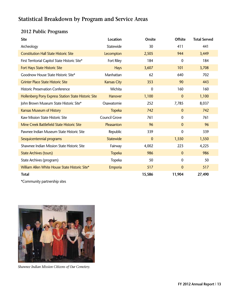## **2012 Public Programs**

| <b>Site</b>                                         | Location             | <b>Onsite</b> | <b>Offsite</b> | <b>Total Served</b> |
|-----------------------------------------------------|----------------------|---------------|----------------|---------------------|
| Archeology                                          | Statewide            | 30            | 411            | 441                 |
| <b>Constitution Hall State Historic Site</b>        | Lecompton            | 2,505         | 944            | 3,449               |
| First Territorial Capitol State Historic Site*      | Fort Riley           | 184           | 0              | 184                 |
| Fort Hays State Historic Site                       | <b>Hays</b>          | 3,607         | 101            | 3,708               |
| Goodnow House State Historic Site*                  | Manhattan            | 62            | 640            | 702                 |
| <b>Grinter Place State Historic Site</b>            | <b>Kansas City</b>   | 353           | 90             | 443                 |
| <b>Historic Preservation Conference</b>             | Wichita              | $\mathbf 0$   | 160            | 160                 |
| Hollenberg Pony Express Station State Historic Site | <b>Hanover</b>       | 1,100         | $\mathbf{0}$   | 1,100               |
| John Brown Museum State Historic Site*              | Osawatomie           | 252           | 7,785          | 8,037               |
| <b>Kansas Museum of History</b>                     | <b>Topeka</b>        | 742           | $\mathbf{0}$   | 742                 |
| Kaw Mission State Historic Site                     | <b>Council Grove</b> | 761           | 0              | 761                 |
| Mine Creek Battlefield State Historic Site          | Pleasanton           | 96            | $\mathbf{0}$   | 96                  |
| Pawnee Indian Museum State Historic Site            | Republic             | 339           | 0              | 339                 |
| Sesquicentennial programs                           | <b>Statewide</b>     | $\mathbf{0}$  | 1,550          | 1,550               |
| Shawnee Indian Mission State Historic Site          | Fairway              | 4,002         | 223            | 4,225               |
| <b>State Archives (tours)</b>                       | <b>Topeka</b>        | 986           | $\Omega$       | 986                 |
| State Archives (program)                            | Topeka               | 50            | $\mathbf 0$    | 50                  |
| William Allen White House State Historic Site*      | Emporia              | 517           | $\mathbf{0}$   | 517                 |
| <b>Total</b>                                        |                      | 15,586        | 11,904         | 27,490              |
|                                                     |                      |               |                |                     |

\*Community partnership sites



*Shawnee Indian Mission Citizens of Our Cemetery.*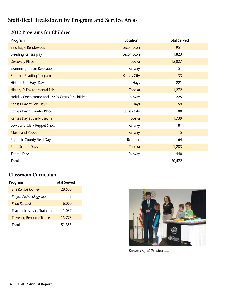#### **2012 Programs for Children**

| Program                                          | Location           | <b>Total Served</b> |
|--------------------------------------------------|--------------------|---------------------|
| <b>Bald Eagle Rendezvous</b>                     | Lecompton          | 951                 |
| <b>Bleeding Kansas play</b>                      | Lecompton          | 1,823               |
| <b>Discovery Place</b>                           | <b>Topeka</b>      | 12,027              |
| Examining Indian Relocation                      | Fairway            | 51                  |
| <b>Summer Reading Program</b>                    | <b>Kansas City</b> | 33                  |
| Historic Fort Hays Days                          | Hays               | 221                 |
| History & Environmental Fair                     | <b>Topeka</b>      | 1,272               |
| Holiday Open House and 1850s Crafts for Children | Fairway            | 225                 |
| Kansas Day at Fort Hays                          | <b>Hays</b>        | 159                 |
| Kansas Day at Grinter Place                      | Kansas City        | 88                  |
| Kansas Day at the Museum                         | <b>Topeka</b>      | 1,739               |
| Lewis and Clark Puppet Show                      | Fairway            | 81                  |
| Movie and Popcorn                                | Fairway            | 15                  |
| Republic County Field Day                        | Republic           | 64                  |
| <b>Rural School Days</b>                         | <b>Topeka</b>      | 1,283               |
| Theme Days                                       | Fairway            | 440                 |
| <b>Total</b>                                     |                    | 20,472              |

#### **Classroom Curriculum**

| Program                          | <b>Total Served</b> |
|----------------------------------|---------------------|
| The Kansas Journey               | 28,500              |
| Project Archaeology sets         | 43                  |
| Read Kansas!                     | 6,000               |
| Teacher In-service Training      | 1,037               |
| <b>Traveling Resource Trunks</b> | 15,773              |
| Total                            | 51,353              |



*Kansas Day at the Museum.*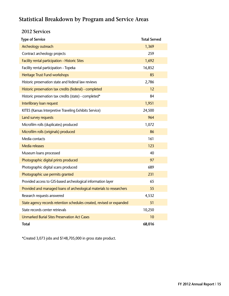#### **2012 Services**

| <b>Type of Service</b>                                                | <b>Total Served</b> |
|-----------------------------------------------------------------------|---------------------|
| Archeology outreach                                                   | 1,369               |
| Contract archeology projects                                          | 259                 |
| Facility rental participation - Historic Sites                        | 1,692               |
| Facility rental participation - Topeka                                | 16,852              |
| Heritage Trust Fund workshops                                         | 85                  |
| Historic preservation state and federal law reviews                   | 2,786               |
| Historic preservation tax credits (federal) - completed               | 12                  |
| Historic preservation tax credits (state) - completed*                | 84                  |
| Interlibrary loan request                                             | 1,951               |
| KITES (Kansas Interpretive Traveling Exhibits Service)                | 24,500              |
| Land survey requests                                                  | 964                 |
| Microfilm rolls (duplicates) produced                                 | 1,072               |
| Microfilm rolls (originals) produced                                  | 86                  |
| Media contacts                                                        | 161                 |
| <b>Media releases</b>                                                 | 123                 |
| Museum loans processed                                                | 40                  |
| Photographic digital prints produced                                  | 97                  |
| Photographic digital scans produced                                   | 689                 |
| Photographic use permits granted                                      | 231                 |
| Provided access to GIS-based archeological information layer          | 65                  |
| Provided and managed loans of archeological materials to researchers  | 55                  |
| Research requests answered                                            | 4,532               |
| State agency records retention schedules created, revised or expanded | 51                  |
| State records center retrievals                                       | 10,250              |
| <b>Unmarked Burial Sites Preservation Act Cases</b>                   | 10                  |
| <b>Total</b>                                                          | 68,016              |

\*Created 3,073 jobs and \$148,705,000 in gross state product.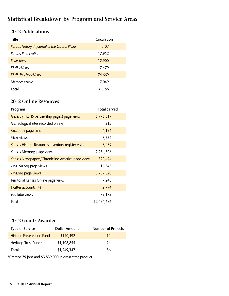#### **2012 Publications**

| <b>Title</b>                                    | Circulation |
|-------------------------------------------------|-------------|
| Kansas History: A Journal of the Central Plains | 11,107      |
| Kansas Preservation                             | 17,952      |
| <b>Reflections</b>                              | 12,900      |
| <b>KSHS</b> eNews                               | 7,479       |
| <b>KSHS</b> Teacher eNews                       | 74,669      |
| Member eNews                                    | 7,049       |
| Total                                           | 131,156     |

#### **2012 Online Resources**

| Program                                             | <b>Total Served</b> |
|-----------------------------------------------------|---------------------|
| Ancestry (KSHS partnership pages) page views        | 5,976,617           |
| Archeological sites recorded online                 | 215                 |
| Facebook page fans                                  | 4,134               |
| Flickr views                                        | 3,554               |
| Kansas Historic Resources Inventory register visits | 8,489               |
| Kansas Memory, page views                           | 2,284,806           |
| Kansas Newspapers/Chronicling America page views    | 320,494             |
| kshs150.org page views                              | 16,545              |
| kshs.org page views                                 | 3,737,620           |
| Territorial Kansas Online page views                | 7,246               |
| Twitter accounts (4)                                | 2,794               |
| YouTube views                                       | 72,172              |
| Total                                               | 12,434,686          |

#### **2012 Grants Awarded**

| <b>Type of Service</b>            | <b>Dollar Amount</b> | <b>Number of Projects</b> |
|-----------------------------------|----------------------|---------------------------|
| <b>Historic Preservation Fund</b> | \$140,492            | 12                        |
| Heritage Trust Fund*              | \$1,108,855          | 24                        |
| Total                             | \$1,249,347          | 36                        |

\*Created 79 jobs and \$3,839,000 in gross state product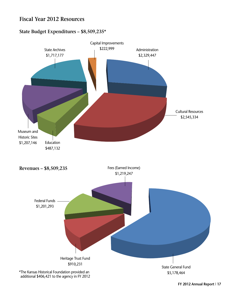#### **Fiscal Year 2012 Resources**

#### **State Budget Expenditures – \$8,509,235\***



 **FY 2012 Annual Report | 17**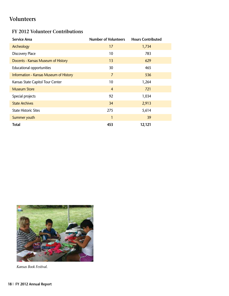## **Volunteers**

#### **FY 2012 Volunteer Contributions**

| <b>Service Area</b>                    | <b>Number of Volunteers</b> | <b>Hours Contributed</b> |
|----------------------------------------|-----------------------------|--------------------------|
| Archeology                             | 17                          | 1,734                    |
| <b>Discovery Place</b>                 | 10                          | 783                      |
| Docents - Kansas Museum of History     | 13                          | 629                      |
| <b>Educational opportunities</b>       | 30                          | 465                      |
| Information - Kansas Museum of History | $\overline{7}$              | 536                      |
| Kansas State Capitol Tour Center       | 10                          | 1,264                    |
| <b>Museum Store</b>                    | $\overline{4}$              | 721                      |
| Special projects                       | 92                          | 1,034                    |
| <b>State Archives</b>                  | 34                          | 2,913                    |
| <b>State Historic Sites</b>            | 275                         | 5,614                    |
| Summer youth                           | 1                           | 39                       |
| <b>Total</b>                           | 453                         | 12,121                   |



*Kansas Book Festival.*